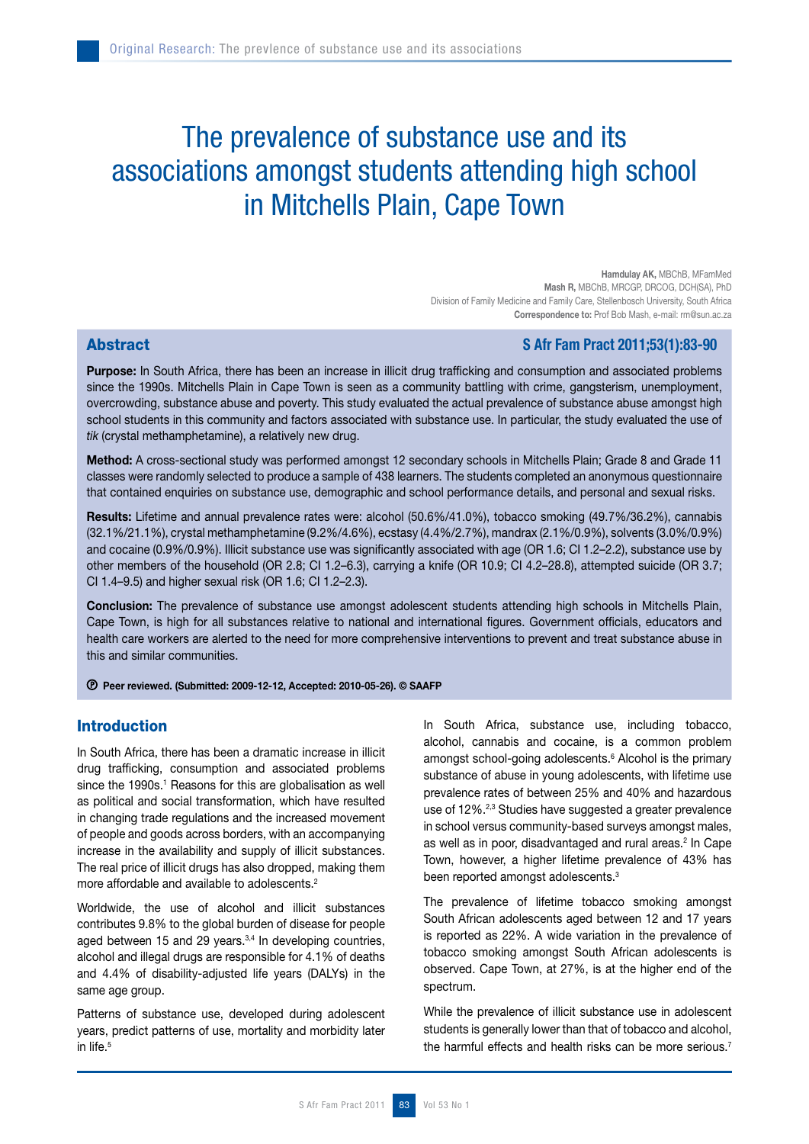# The prevalence of substance use and its associations amongst students attending high school in Mitchells Plain, Cape Town

Hamdulay AK, MBChB, MFamMed Mash R, MBChB, MRCGP, DRCOG, DCH(SA), PhD Division of Family Medicine and Family Care, Stellenbosch University, South Africa Correspondence to: Prof Bob Mash, e-mail: rm@sun.ac.za

# Abstract **SAfr Fam Pract 2011**;53(1):83-90

Purpose: In South Africa, there has been an increase in illicit drug trafficking and consumption and associated problems since the 1990s. Mitchells Plain in Cape Town is seen as a community battling with crime, gangsterism, unemployment, overcrowding, substance abuse and poverty. This study evaluated the actual prevalence of substance abuse amongst high school students in this community and factors associated with substance use. In particular, the study evaluated the use of *tik* (crystal methamphetamine), a relatively new drug.

Method: A cross-sectional study was performed amongst 12 secondary schools in Mitchells Plain; Grade 8 and Grade 11 classes were randomly selected to produce a sample of 438 learners. The students completed an anonymous questionnaire that contained enquiries on substance use, demographic and school performance details, and personal and sexual risks.

Results: Lifetime and annual prevalence rates were: alcohol (50.6%/41.0%), tobacco smoking (49.7%/36.2%), cannabis (32.1%/21.1%), crystal methamphetamine (9.2%/4.6%), ecstasy (4.4%/2.7%), mandrax (2.1%/0.9%), solvents (3.0%/0.9%) and cocaine (0.9%/0.9%). Illicit substance use was significantly associated with age (OR 1.6; CI 1.2–2.2), substance use by other members of the household (OR 2.8; CI 1.2–6.3), carrying a knife (OR 10.9; CI 4.2–28.8), attempted suicide (OR 3.7; CI 1.4–9.5) and higher sexual risk (OR 1.6; CI 1.2–2.3).

Conclusion: The prevalence of substance use amongst adolescent students attending high schools in Mitchells Plain, Cape Town, is high for all substances relative to national and international figures. Government officials, educators and health care workers are alerted to the need for more comprehensive interventions to prevent and treat substance abuse in this and similar communities.

Peer reviewed. (Submitted: 2009-12-12, Accepted: 2010-05-26). © SAAFP

# Introduction

In South Africa, there has been a dramatic increase in illicit drug trafficking, consumption and associated problems since the 1990s.<sup>1</sup> Reasons for this are globalisation as well as political and social transformation, which have resulted in changing trade regulations and the increased movement of people and goods across borders, with an accompanying increase in the availability and supply of illicit substances. The real price of illicit drugs has also dropped, making them more affordable and available to adolescents.<sup>2</sup>

Worldwide, the use of alcohol and illicit substances contributes 9.8% to the global burden of disease for people aged between 15 and 29 years.<sup>3,4</sup> In developing countries, alcohol and illegal drugs are responsible for 4.1% of deaths and 4.4% of disability-adjusted life years (DALYs) in the same age group.

Patterns of substance use, developed during adolescent years, predict patterns of use, mortality and morbidity later in life.<sup>5</sup>

In South Africa, substance use, including tobacco, alcohol, cannabis and cocaine, is a common problem amongst school-going adolescents.<sup>6</sup> Alcohol is the primary substance of abuse in young adolescents, with lifetime use prevalence rates of between 25% and 40% and hazardous use of 12%.<sup>2,3</sup> Studies have suggested a greater prevalence in school versus community-based surveys amongst males, as well as in poor, disadvantaged and rural areas.<sup>2</sup> In Cape Town, however, a higher lifetime prevalence of 43% has been reported amongst adolescents.<sup>3</sup>

The prevalence of lifetime tobacco smoking amongst South African adolescents aged between 12 and 17 years is reported as 22%. A wide variation in the prevalence of tobacco smoking amongst South African adolescents is observed. Cape Town, at 27%, is at the higher end of the spectrum.

While the prevalence of illicit substance use in adolescent students is generally lower than that of tobacco and alcohol, the harmful effects and health risks can be more serious.<sup>7</sup>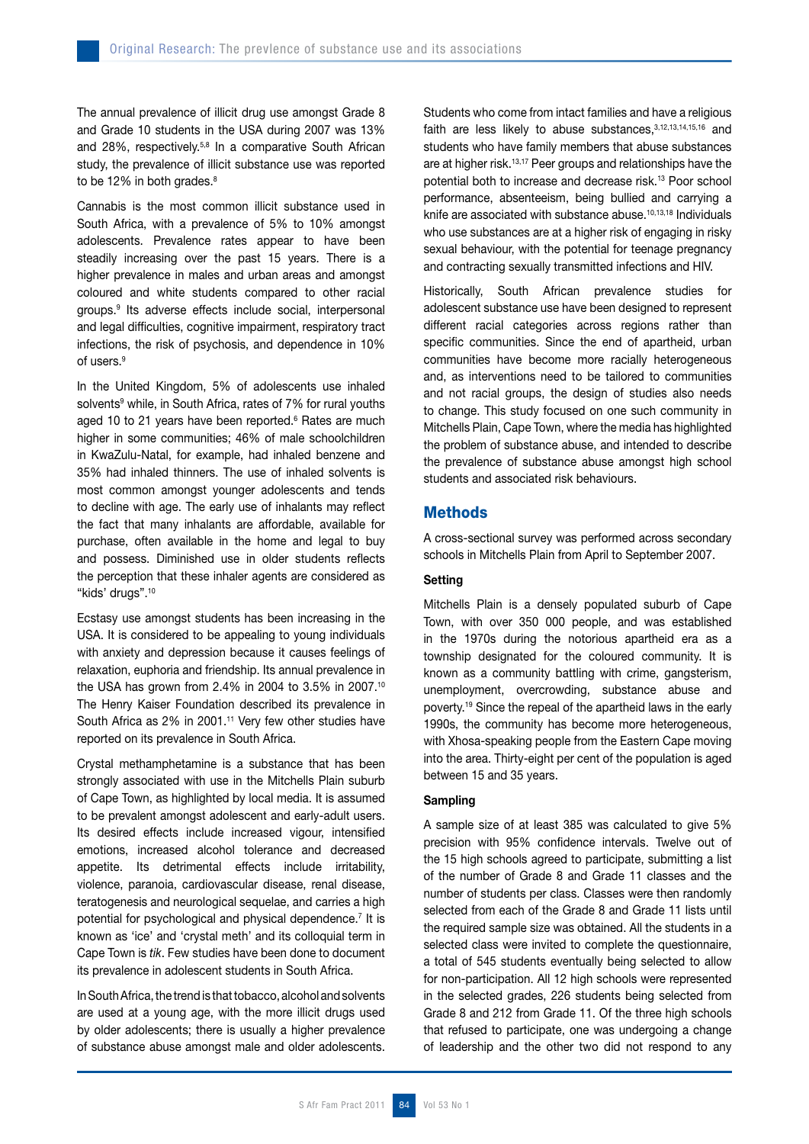The annual prevalence of illicit drug use amongst Grade 8 and Grade 10 students in the USA during 2007 was 13% and 28%, respectively.<sup>5,8</sup> In a comparative South African study, the prevalence of illicit substance use was reported to be 12% in both grades.<sup>8</sup>

Cannabis is the most common illicit substance used in South Africa, with a prevalence of 5% to 10% amongst adolescents. Prevalence rates appear to have been steadily increasing over the past 15 years. There is a higher prevalence in males and urban areas and amongst coloured and white students compared to other racial groups.9 Its adverse effects include social, interpersonal and legal difficulties, cognitive impairment, respiratory tract infections, the risk of psychosis, and dependence in 10% of users.9

In the United Kingdom, 5% of adolescents use inhaled solvents<sup>9</sup> while, in South Africa, rates of 7% for rural youths aged 10 to 21 years have been reported.<sup>6</sup> Rates are much higher in some communities; 46% of male schoolchildren in KwaZulu-Natal, for example, had inhaled benzene and 35% had inhaled thinners. The use of inhaled solvents is most common amongst younger adolescents and tends to decline with age. The early use of inhalants may reflect the fact that many inhalants are affordable, available for purchase, often available in the home and legal to buy and possess. Diminished use in older students reflects the perception that these inhaler agents are considered as "kids' drugs".<sup>10</sup>

Ecstasy use amongst students has been increasing in the USA. It is considered to be appealing to young individuals with anxiety and depression because it causes feelings of relaxation, euphoria and friendship. Its annual prevalence in the USA has grown from 2.4% in 2004 to 3.5% in 2007.10 The Henry Kaiser Foundation described its prevalence in South Africa as 2% in 2001.11 Very few other studies have reported on its prevalence in South Africa.

Crystal methamphetamine is a substance that has been strongly associated with use in the Mitchells Plain suburb of Cape Town, as highlighted by local media. It is assumed to be prevalent amongst adolescent and early-adult users. Its desired effects include increased vigour, intensified emotions, increased alcohol tolerance and decreased appetite. Its detrimental effects include irritability, violence, paranoia, cardiovascular disease, renal disease, teratogenesis and neurological sequelae, and carries a high potential for psychological and physical dependence.<sup>7</sup> It is known as 'ice' and 'crystal meth' and its colloquial term in Cape Town is *tik*. Few studies have been done to document its prevalence in adolescent students in South Africa.

In South Africa, the trend is that tobacco, alcohol and solvents are used at a young age, with the more illicit drugs used by older adolescents; there is usually a higher prevalence of substance abuse amongst male and older adolescents. Students who come from intact families and have a religious faith are less likely to abuse substances, 3,12,13,14,15,16 and students who have family members that abuse substances are at higher risk.<sup>13,17</sup> Peer groups and relationships have the potential both to increase and decrease risk.13 Poor school performance, absenteeism, being bullied and carrying a knife are associated with substance abuse.10,13,18 Individuals who use substances are at a higher risk of engaging in risky sexual behaviour, with the potential for teenage pregnancy and contracting sexually transmitted infections and HIV.

Historically, South African prevalence studies for adolescent substance use have been designed to represent different racial categories across regions rather than specific communities. Since the end of apartheid, urban communities have become more racially heterogeneous and, as interventions need to be tailored to communities and not racial groups, the design of studies also needs to change. This study focused on one such community in Mitchells Plain, Cape Town, where the media has highlighted the problem of substance abuse, and intended to describe the prevalence of substance abuse amongst high school students and associated risk behaviours.

## **Methods**

A cross-sectional survey was performed across secondary schools in Mitchells Plain from April to September 2007.

#### **Setting**

Mitchells Plain is a densely populated suburb of Cape Town, with over 350 000 people, and was established in the 1970s during the notorious apartheid era as a township designated for the coloured community. It is known as a community battling with crime, gangsterism, unemployment, overcrowding, substance abuse and poverty.19 Since the repeal of the apartheid laws in the early 1990s, the community has become more heterogeneous. with Xhosa-speaking people from the Eastern Cape moving into the area. Thirty-eight per cent of the population is aged between 15 and 35 years.

#### Sampling

A sample size of at least 385 was calculated to give 5% precision with 95% confidence intervals. Twelve out of the 15 high schools agreed to participate, submitting a list of the number of Grade 8 and Grade 11 classes and the number of students per class. Classes were then randomly selected from each of the Grade 8 and Grade 11 lists until the required sample size was obtained. All the students in a selected class were invited to complete the questionnaire, a total of 545 students eventually being selected to allow for non-participation. All 12 high schools were represented in the selected grades, 226 students being selected from Grade 8 and 212 from Grade 11. Of the three high schools that refused to participate, one was undergoing a change of leadership and the other two did not respond to any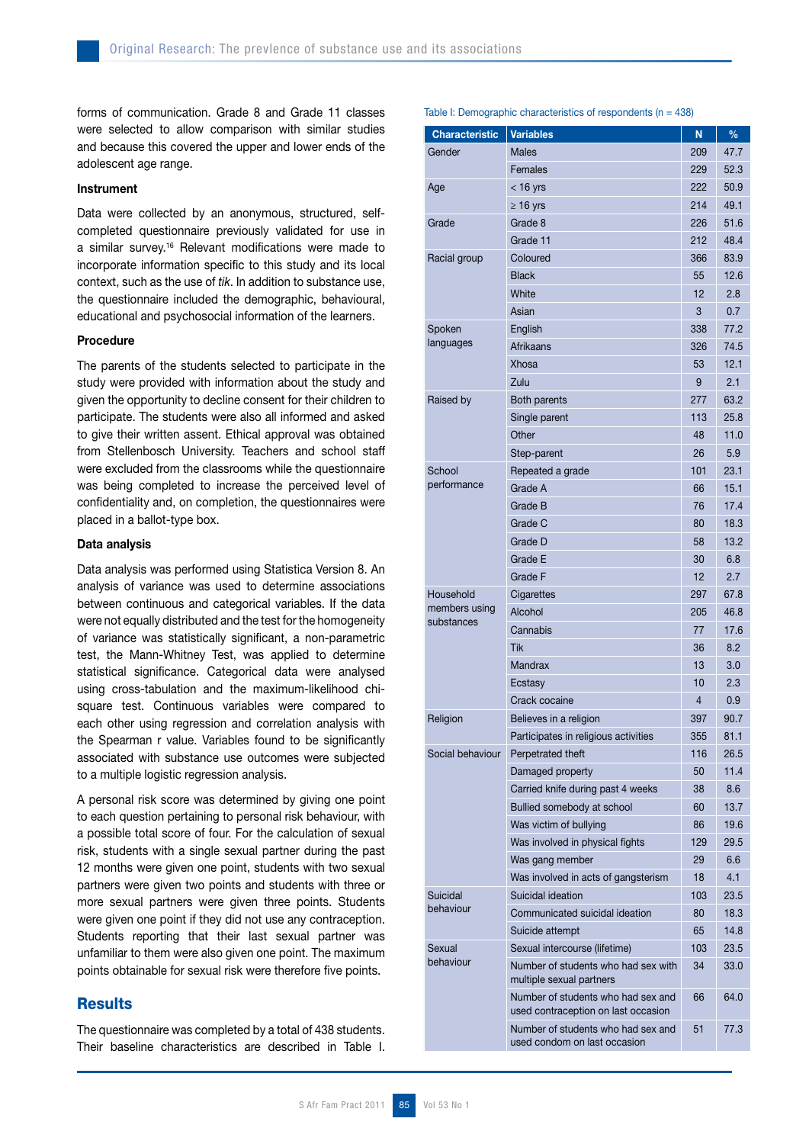forms of communication. Grade 8 and Grade 11 classes were selected to allow comparison with similar studies and because this covered the upper and lower ends of the adolescent age range.

#### Instrument

Data were collected by an anonymous, structured, selfcompleted questionnaire previously validated for use in a similar survey.16 Relevant modifications were made to incorporate information specific to this study and its local context, such as the use of *tik*. In addition to substance use, the questionnaire included the demographic, behavioural, educational and psychosocial information of the learners.

#### **Procedure**

The parents of the students selected to participate in the study were provided with information about the study and given the opportunity to decline consent for their children to participate. The students were also all informed and asked to give their written assent. Ethical approval was obtained from Stellenbosch University. Teachers and school staff were excluded from the classrooms while the questionnaire was being completed to increase the perceived level of confidentiality and, on completion, the questionnaires were placed in a ballot-type box.

#### Data analysis

Data analysis was performed using Statistica Version 8. An analysis of variance was used to determine associations between continuous and categorical variables. If the data were not equally distributed and the test for the homogeneity of variance was statistically significant, a non-parametric test, the Mann-Whitney Test, was applied to determine statistical significance. Categorical data were analysed using cross-tabulation and the maximum-likelihood chisquare test. Continuous variables were compared to each other using regression and correlation analysis with the Spearman r value. Variables found to be significantly associated with substance use outcomes were subjected to a multiple logistic regression analysis.

A personal risk score was determined by giving one point to each question pertaining to personal risk behaviour, with a possible total score of four. For the calculation of sexual risk, students with a single sexual partner during the past 12 months were given one point, students with two sexual partners were given two points and students with three or more sexual partners were given three points. Students were given one point if they did not use any contraception. Students reporting that their last sexual partner was unfamiliar to them were also given one point. The maximum points obtainable for sexual risk were therefore five points.

# **Results**

The questionnaire was completed by a total of 438 students. Their baseline characteristics are described in Table I. Table I: Demographic characteristics of respondents ( $n = 438$ )

| <b>Characteristic</b> | <b>Variables</b>                                                          | N        | $\frac{9}{6}$ |
|-----------------------|---------------------------------------------------------------------------|----------|---------------|
| Gender                | Males                                                                     | 209      | 47.7          |
|                       | Females                                                                   | 229      | 52.3          |
| Age                   | $<$ 16 yrs                                                                | 222      | 50.9          |
|                       | $\geq 16$ yrs                                                             | 214      | 49.1          |
| Grade                 | Grade 8                                                                   | 226      | 51.6          |
|                       | Grade 11                                                                  | 212      | 48.4          |
| Racial group          | Coloured                                                                  | 366      | 83.9          |
|                       | <b>Black</b>                                                              | 55       | 12.6          |
|                       | White                                                                     | 12       | 2.8           |
|                       | Asian                                                                     | 3        | 0.7           |
| Spoken                | English                                                                   | 338      | 77.2          |
| languages             | Afrikaans                                                                 | 326      | 74.5          |
|                       | Xhosa                                                                     | 53       | 12.1          |
|                       | Zulu                                                                      | 9        | 2.1           |
| Raised by             | Both parents                                                              | 277      | 63.2          |
|                       | Single parent                                                             | 113      | 25.8          |
|                       | Other                                                                     | 48       | 11.0          |
|                       |                                                                           | 26       | 5.9           |
| School                | Step-parent                                                               | 101      | 23.1          |
| performance           | Repeated a grade<br>Grade A                                               | 66       | 15.1          |
|                       | Grade B                                                                   | 76       | 17.4          |
|                       | Grade C                                                                   |          | 18.3          |
|                       |                                                                           | 80       |               |
|                       | Grade D<br><b>Grade E</b>                                                 | 58       | 13.2<br>6.8   |
|                       | Grade F                                                                   | 30<br>12 | 2.7           |
| Household             |                                                                           |          | 67.8          |
| members using         | Cigarettes                                                                | 297      |               |
| substances            | Alcohol                                                                   | 205      | 46.8          |
|                       | Cannabis<br>Tik                                                           | 77       | 17.6          |
|                       |                                                                           | 36       | 8.2           |
|                       | <b>Mandrax</b>                                                            | 13       | 3.0           |
|                       | Ecstasy                                                                   | 10       | 2.3           |
|                       | Crack cocaine                                                             | 4        | 0.9           |
| Religion              | Believes in a religion                                                    | 397      | 90.7          |
| Social behaviour      | Participates in religious activities                                      | 355      | 81.1          |
|                       | Perpetrated theft                                                         | 116      | 26.5          |
|                       | Damaged property                                                          | 50       | 11.4          |
|                       | Carried knife during past 4 weeks                                         | 38       | 8.6           |
|                       | Bullied somebody at school                                                | 60       | 13.7          |
|                       | Was victim of bullying                                                    | 86       | 19.6          |
|                       | Was involved in physical fights                                           | 129      | 29.5          |
|                       | Was gang member                                                           | 29       | 6.6           |
|                       | Was involved in acts of gangsterism                                       | 18       | 4.1           |
| Suicidal<br>behaviour | Suicidal ideation                                                         | 103      | 23.5          |
|                       | Communicated suicidal ideation                                            | 80       | 18.3          |
|                       | Suicide attempt                                                           | 65       | 14.8          |
| Sexual<br>behaviour   | Sexual intercourse (lifetime)                                             | 103      | 23.5          |
|                       | Number of students who had sex with<br>multiple sexual partners           | 34       | 33.0          |
|                       | Number of students who had sex and<br>used contraception on last occasion | 66       | 64.0          |
|                       | Number of students who had sex and<br>used condom on last occasion        | 51       | 77.3          |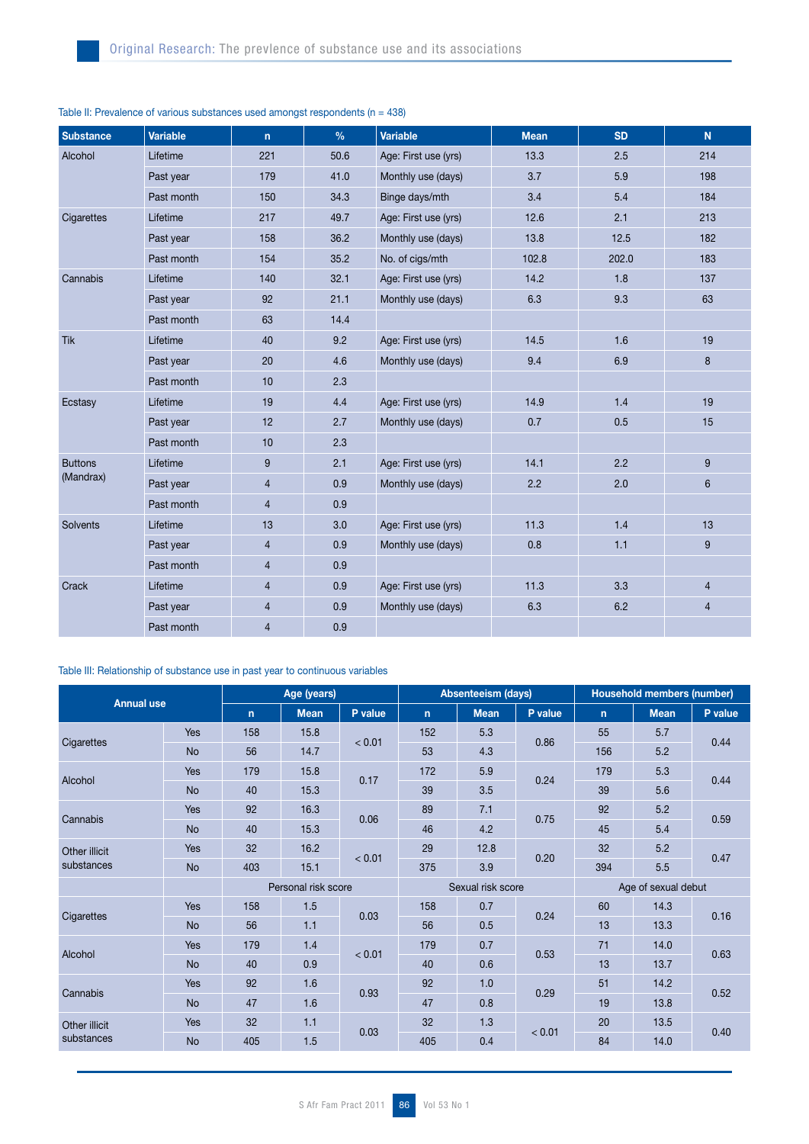| <b>Substance</b> | <b>Variable</b> | $\mathsf{n}$   | $\frac{0}{0}$ | <b>Variable</b>      | <b>Mean</b> | <b>SD</b> | N.             |
|------------------|-----------------|----------------|---------------|----------------------|-------------|-----------|----------------|
| Alcohol          | Lifetime        | 221            | 50.6          | Age: First use (yrs) | 13.3        | 2.5       | 214            |
|                  | Past year       | 179            | 41.0          | Monthly use (days)   | 3.7         | 5.9       | 198            |
|                  | Past month      | 150            | 34.3          | Binge days/mth       | 3.4         | 5.4       | 184            |
| Cigarettes       | Lifetime        | 217            | 49.7          | Age: First use (yrs) | 12.6        | 2.1       | 213            |
|                  | Past year       | 158            | 36.2          | Monthly use (days)   | 13.8        | 12.5      | 182            |
|                  | Past month      | 154            | 35.2          | No. of cigs/mth      | 102.8       | 202.0     | 183            |
| Cannabis         | Lifetime        | 140            | 32.1          | Age: First use (yrs) | 14.2        | 1.8       | 137            |
|                  | Past year       | 92             | 21.1          | Monthly use (days)   | 6.3         | 9.3       | 63             |
|                  | Past month      | 63             | 14.4          |                      |             |           |                |
| <b>Tik</b>       | Lifetime        | 40             | 9.2           | Age: First use (yrs) | 14.5        | 1.6       | 19             |
|                  | Past year       | 20             | 4.6           | Monthly use (days)   | 9.4         | 6.9       | 8              |
|                  | Past month      | 10             | 2.3           |                      |             |           |                |
| Ecstasy          | Lifetime        | 19             | 4.4           | Age: First use (yrs) | 14.9        | 1.4       | 19             |
|                  | Past year       | 12             | 2.7           | Monthly use (days)   | 0.7         | 0.5       | 15             |
|                  | Past month      | 10             | 2.3           |                      |             |           |                |
| <b>Buttons</b>   | Lifetime        | 9              | 2.1           | Age: First use (yrs) | 14.1        | 2.2       | 9              |
| (Mandrax)        | Past year       | $\overline{4}$ | 0.9           | Monthly use (days)   | 2.2         | 2.0       | 6              |
|                  | Past month      | $\overline{4}$ | 0.9           |                      |             |           |                |
| Solvents         | Lifetime        | 13             | 3.0           | Age: First use (yrs) | 11.3        | 1.4       | 13             |
|                  | Past year       | $\overline{4}$ | 0.9           | Monthly use (days)   | 0.8         | 1.1       | 9              |
|                  | Past month      | $\overline{4}$ | 0.9           |                      |             |           |                |
| Crack            | Lifetime        | $\overline{4}$ | 0.9           | Age: First use (yrs) | 11.3        | 3.3       | $\overline{4}$ |
|                  | Past year       | $\overline{4}$ | 0.9           | Monthly use (days)   | 6.3         | 6.2       | 4              |
|                  | Past month      | $\overline{4}$ | 0.9           |                      |             |           |                |

# Table II: Prevalence of various substances used amongst respondents ( $n = 438$ )

# Table III: Relationship of substance use in past year to continuous variables

| <b>Annual use</b>           |            | Age (years)         |             |         |              | <b>Absenteeism (days)</b> |         | Household members (number) |             |         |  |
|-----------------------------|------------|---------------------|-------------|---------|--------------|---------------------------|---------|----------------------------|-------------|---------|--|
|                             |            | $\mathsf{n}$        | <b>Mean</b> | P value | $\mathbf{n}$ | <b>Mean</b>               | P value | $\mathsf{n}$               | <b>Mean</b> | P value |  |
| Cigarettes                  | Yes        | 158                 | 15.8        | < 0.01  | 152          | 5.3                       | 0.86    | 55                         | 5.7         | 0.44    |  |
|                             | <b>No</b>  | 56                  | 14.7        |         | 53           | 4.3                       |         | 156                        | 5.2         |         |  |
|                             | <b>Yes</b> | 179                 | 15.8        | 0.17    | 172          | 5.9                       | 0.24    | 179                        | 5.3         | 0.44    |  |
| Alcohol                     | <b>No</b>  | 40                  | 15.3        |         | 39           | 3.5                       |         | 39                         | 5.6         |         |  |
| Cannabis                    | Yes        | 92                  | 16.3        | 0.06    | 89           | 7.1                       | 0.75    | 92                         | 5.2         | 0.59    |  |
|                             | <b>No</b>  | 40                  | 15.3        |         | 46           | 4.2                       |         | 45                         | 5.4         |         |  |
| Other illicit<br>substances | Yes        | 32                  | 16.2        | < 0.01  | 29           | 12.8                      | 0.20    | 32                         | 5.2         | 0.47    |  |
|                             | <b>No</b>  | 403                 | 15.1        |         | 375          | 3.9                       |         | 394                        | 5.5         |         |  |
|                             |            | Personal risk score |             |         |              | Sexual risk score         |         | Age of sexual debut        |             |         |  |
|                             | Yes        | 158                 | 1.5         | 0.03    | 158          | 0.7                       | 0.24    | 60                         | 14.3        | 0.16    |  |
| Cigarettes                  | <b>No</b>  | 56                  | 1.1         |         | 56           | 0.5                       |         | 13                         | 13.3        |         |  |
| Alcohol                     | Yes        | 179                 | 1.4         | < 0.01  | 179          | 0.7                       | 0.53    | 71                         | 14.0        | 0.63    |  |
|                             | <b>No</b>  | 40                  | 0.9         |         | 40           | 0.6                       |         | 13                         | 13.7        |         |  |
| Cannabis                    | Yes        | 92                  | 1.6         | 0.93    | 92           | 1.0                       | 0.29    | 51                         | 14.2        | 0.52    |  |
|                             | <b>No</b>  | 47                  | 1.6         |         | 47           | 0.8                       |         | 19                         | 13.8        |         |  |
| Other illicit<br>substances | Yes        | 32                  | 1.1         |         | 32           | 1.3                       | < 0.01  | 20                         | 13.5        | 0.40    |  |
|                             | <b>No</b>  | 405                 | 1.5         | 0.03    | 405          | 0.4                       |         | 84                         | 14.0        |         |  |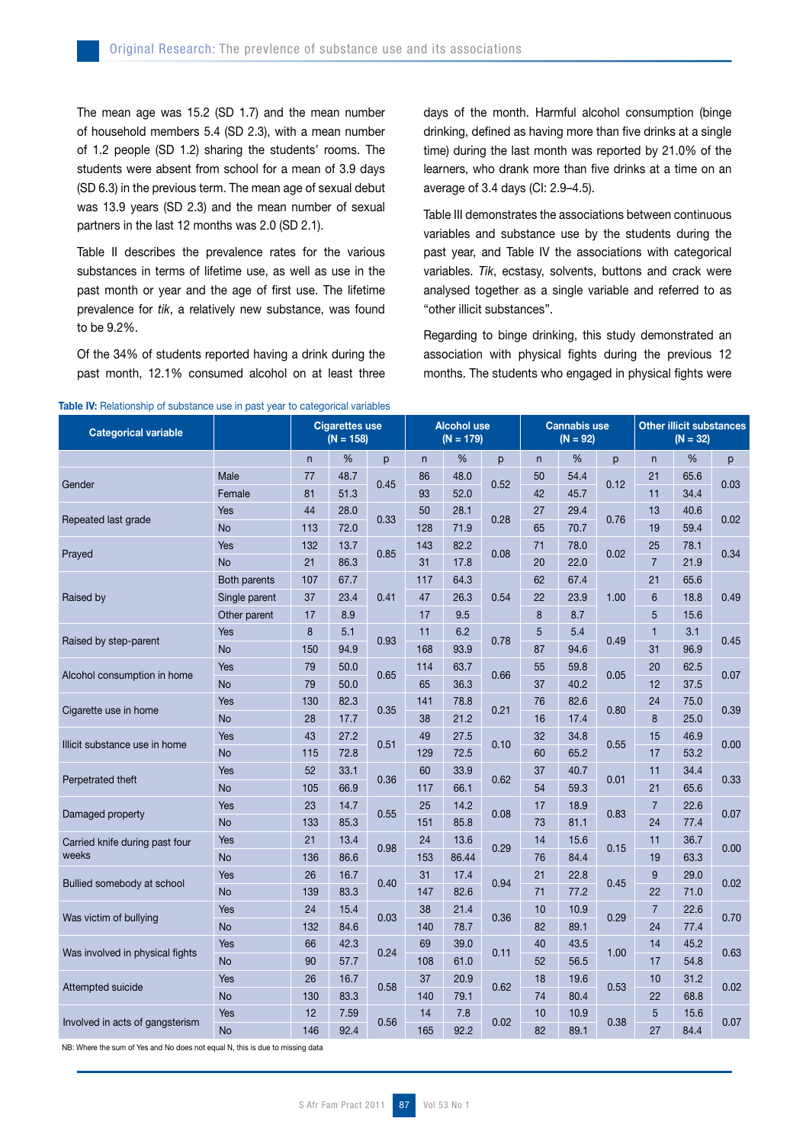The mean age was 15.2 (SD 1.7) and the mean number of household members 5.4 (SD 2.3), with a mean number of 1.2 people (SD 1.2) sharing the students' rooms. The students were absent from school for a mean of 3.9 days (SD 6.3) in the previous term. The mean age of sexual debut was 13.9 years (SD 2.3) and the mean number of sexual partners in the last 12 months was 2.0 (SD 2.1).

Table II describes the prevalence rates for the various substances in terms of lifetime use, as well as use in the past month or year and the age of first use. The lifetime prevalence for *tik*, a relatively new substance, was found to be 9.2%.

Of the 34% of students reported having a drink during the past month, 12.1% consumed alcohol on at least three days of the month. Harmful alcohol consumption (binge drinking, defined as having more than five drinks at a single time) during the last month was reported by 21.0% of the learners, who drank more than five drinks at a time on an average of 3.4 days (CI: 2.9–4.5).

Table III demonstrates the associations between continuous variables and substance use by the students during the past year, and Table IV the associations with categorical variables. *Tik*, ecstasy, solvents, buttons and crack were analysed together as a single variable and referred to as "other illicit substances".

Regarding to binge drinking, this study demonstrated an association with physical fights during the previous 12 months. The students who engaged in physical fights were

| <b>Categorical variable</b>     |               | <b>Cigarettes use</b><br>$(N = 158)$ |      | <b>Alcohol use</b><br>$(N = 179)$ |              |       | <b>Cannabis use</b><br>$(N = 92)$ |    |      | <b>Other illicit substances</b><br>$(N = 32)$ |                |      |      |
|---------------------------------|---------------|--------------------------------------|------|-----------------------------------|--------------|-------|-----------------------------------|----|------|-----------------------------------------------|----------------|------|------|
|                                 |               | n                                    | %    | p                                 | $\mathsf{n}$ | %     | p                                 | n  | $\%$ | p                                             | $\mathsf{n}$   | %    | p    |
| Gender                          | Male          | 77                                   | 48.7 | 0.45                              | 86           | 48.0  | 0.52                              | 50 | 54.4 | 0.12                                          | 21             | 65.6 | 0.03 |
|                                 | Female        | 81                                   | 51.3 |                                   | 93           | 52.0  |                                   | 42 | 45.7 |                                               | 11             | 34.4 |      |
| Repeated last grade             | Yes           | 44                                   | 28.0 | 0.33                              | 50           | 28.1  | 0.28                              | 27 | 29.4 | 0.76                                          | 13             | 40.6 | 0.02 |
|                                 | <b>No</b>     | 113                                  | 72.0 |                                   | 128          | 71.9  |                                   | 65 | 70.7 |                                               | 19             | 59.4 |      |
| Prayed                          | Yes           | 132                                  | 13.7 | 0.85                              | 143          | 82.2  | 0.08                              | 71 | 78.0 | 0.02                                          | 25             | 78.1 | 0.34 |
|                                 | <b>No</b>     | 21                                   | 86.3 |                                   | 31           | 17.8  |                                   | 20 | 22.0 |                                               | $\overline{7}$ | 21.9 |      |
|                                 | Both parents  | 107                                  | 67.7 | 0.41                              | 117          | 64.3  | 0.54                              | 62 | 67.4 |                                               | 21             | 65.6 |      |
| Raised by                       | Single parent | 37                                   | 23.4 |                                   | 47           | 26.3  |                                   | 22 | 23.9 | 1.00                                          | 6              | 18.8 | 0.49 |
|                                 | Other parent  | 17                                   | 8.9  |                                   | 17           | 9.5   |                                   | 8  | 8.7  |                                               | 5              | 15.6 |      |
| Raised by step-parent           | Yes           | 8                                    | 5.1  | 0.93                              | 11           | 6.2   | 0.78                              | 5  | 5.4  | 0.49                                          | $\mathbf{1}$   | 3.1  | 0.45 |
|                                 | <b>No</b>     | 150                                  | 94.9 |                                   | 168          | 93.9  |                                   | 87 | 94.6 |                                               | 31             | 96.9 |      |
| Alcohol consumption in home     | Yes           | 79                                   | 50.0 | 0.65                              | 114          | 63.7  | 0.66                              | 55 | 59.8 | 0.05                                          | 20             | 62.5 | 0.07 |
|                                 | <b>No</b>     | 79                                   | 50.0 |                                   | 65           | 36.3  |                                   | 37 | 40.2 |                                               | 12             | 37.5 |      |
| Cigarette use in home           | Yes           | 130                                  | 82.3 | 0.35                              | 141          | 78.8  | 0.21                              | 76 | 82.6 | 0.80                                          | 24             | 75.0 | 0.39 |
|                                 | <b>No</b>     | 28                                   | 17.7 |                                   | 38           | 21.2  |                                   | 16 | 17.4 |                                               | 8              | 25.0 |      |
| Illicit substance use in home   | Yes           | 43                                   | 27.2 | 0.51                              | 49           | 27.5  | 0.10                              | 32 | 34.8 | 0.55                                          | 15             | 46.9 | 0.00 |
|                                 | <b>No</b>     | 115                                  | 72.8 |                                   | 129          | 72.5  |                                   | 60 | 65.2 |                                               | 17             | 53.2 |      |
| Perpetrated theft               | Yes           | 52                                   | 33.1 | 0.36                              | 60           | 33.9  | 0.62                              | 37 | 40.7 | 0.01                                          | 11             | 34.4 | 0.33 |
|                                 | <b>No</b>     | 105                                  | 66.9 |                                   | 117          | 66.1  |                                   | 54 | 59.3 |                                               | 21             | 65.6 |      |
| Damaged property                | Yes           | 23                                   | 14.7 | 0.55                              | 25           | 14.2  | 0.08                              | 17 | 18.9 | 0.83                                          | $\overline{7}$ | 22.6 | 0.07 |
|                                 | <b>No</b>     | 133                                  | 85.3 |                                   | 151          | 85.8  |                                   | 73 | 81.1 |                                               | 24             | 77.4 |      |
| Carried knife during past four  | Yes           | 21                                   | 13.4 | 0.98                              | 24           | 13.6  | 0.29                              | 14 | 15.6 | 0.15                                          | 11             | 36.7 | 0.00 |
| weeks                           | <b>No</b>     | 136                                  | 86.6 |                                   | 153          | 86.44 |                                   | 76 | 84.4 |                                               | 19             | 63.3 |      |
| Bullied somebody at school      | Yes           | 26                                   | 16.7 | 0.40                              | 31           | 17.4  | 0.94                              | 21 | 22.8 | 0.45                                          | 9              | 29.0 | 0.02 |
|                                 | <b>No</b>     | 139                                  | 83.3 |                                   | 147          | 82.6  |                                   | 71 | 77.2 |                                               | 22             | 71.0 |      |
| Was victim of bullying          | Yes           | 24                                   | 15.4 | 0.03                              | 38           | 21.4  | 0.36                              | 10 | 10.9 | 0.29                                          | $\overline{7}$ | 22.6 | 0.70 |
|                                 | <b>No</b>     | 132                                  | 84.6 |                                   | 140          | 78.7  |                                   | 82 | 89.1 |                                               | 24             | 77.4 |      |
| Was involved in physical fights | Yes           | 66                                   | 42.3 | 0.24                              | 69           | 39.0  | 0.11                              | 40 | 43.5 | 1.00                                          | 14             | 45.2 | 0.63 |
|                                 | <b>No</b>     | 90                                   | 57.7 |                                   | 108          | 61.0  |                                   | 52 | 56.5 |                                               | 17             | 54.8 |      |
| Attempted suicide               | Yes           | 26                                   | 16.7 | 0.58                              | 37           | 20.9  | 0.62                              | 18 | 19.6 | 0.53                                          | 10             | 31.2 | 0.02 |
|                                 | <b>No</b>     | 130                                  | 83.3 |                                   | 140          | 79.1  |                                   | 74 | 80.4 |                                               | 22             | 68.8 |      |
| Involved in acts of gangsterism | Yes           | 12                                   | 7.59 | 0.56                              | 14           | 7.8   | 0.02                              | 10 | 10.9 | 0.38                                          | 5              | 15.6 | 0.07 |
|                                 | <b>No</b>     | 146                                  | 92.4 |                                   | 165          | 92.2  |                                   | 82 | 89.1 |                                               | 27             | 84.4 |      |

#### Table IV: Relationship of substance use in past year to categorical variables

NB: Where the sum of Yes and No does not equal N, this is due to missing data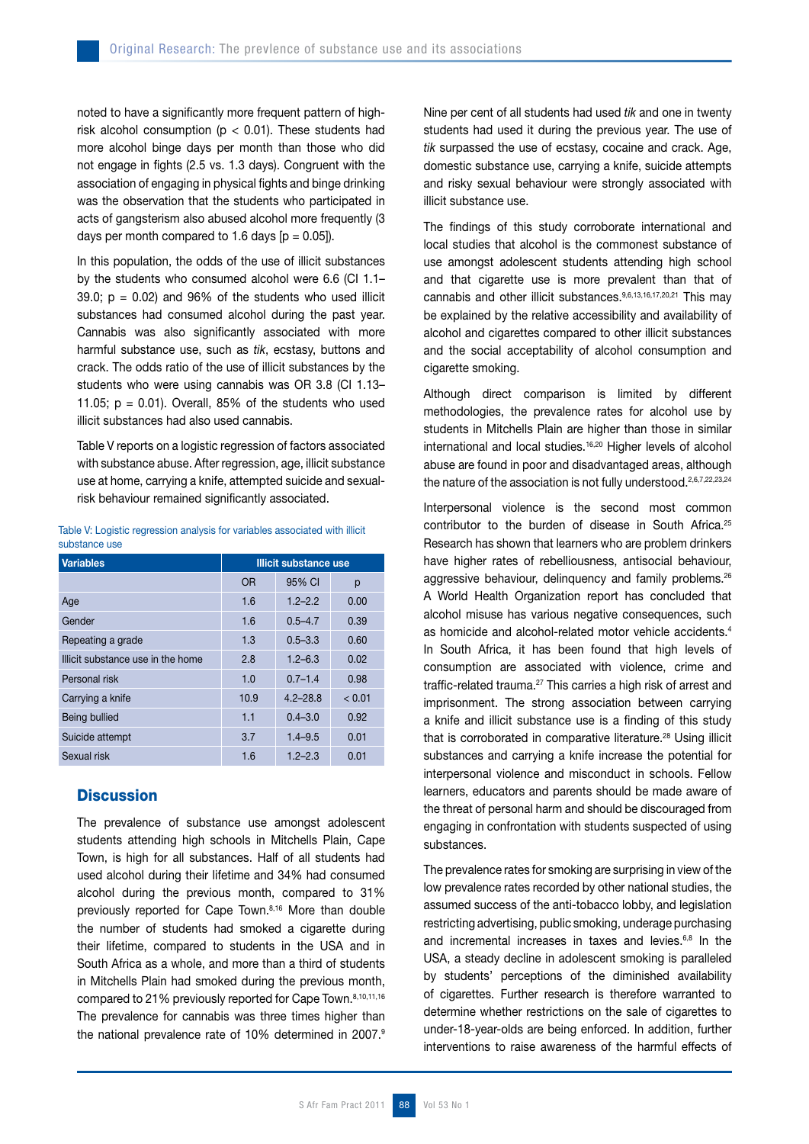noted to have a significantly more frequent pattern of highrisk alcohol consumption ( $p < 0.01$ ). These students had more alcohol binge days per month than those who did not engage in fights (2.5 vs. 1.3 days). Congruent with the association of engaging in physical fights and binge drinking was the observation that the students who participated in acts of gangsterism also abused alcohol more frequently (3 days per month compared to 1.6 days  $[p = 0.05]$ .

In this population, the odds of the use of illicit substances by the students who consumed alcohol were 6.6 (CI 1.1– 39.0;  $p = 0.02$ ) and 96% of the students who used illicit substances had consumed alcohol during the past year. Cannabis was also significantly associated with more harmful substance use, such as *tik*, ecstasy, buttons and crack. The odds ratio of the use of illicit substances by the students who were using cannabis was OR 3.8 (CI 1.13– 11.05;  $p = 0.01$ ). Overall, 85% of the students who used illicit substances had also used cannabis.

Table V reports on a logistic regression of factors associated with substance abuse. After regression, age, illicit substance use at home, carrying a knife, attempted suicide and sexualrisk behaviour remained significantly associated.

Table V: Logistic regression analysis for variables associated with illicit substance use

| <b>Variables</b>                  | <b>Illicit substance use</b> |              |        |  |  |  |
|-----------------------------------|------------------------------|--------------|--------|--|--|--|
|                                   | <b>OR</b>                    | 95% CI       | р      |  |  |  |
| Age                               | 1.6                          | $1.2 - 2.2$  | 0.00   |  |  |  |
| Gender                            | 1.6                          | $0.5 - 4.7$  | 0.39   |  |  |  |
| Repeating a grade                 | 1.3                          | $0.5 - 3.3$  | 0.60   |  |  |  |
| Illicit substance use in the home | 2.8                          | $1.2 - 6.3$  | 0.02   |  |  |  |
| Personal risk                     | 1.0                          | $0.7 - 1.4$  | 0.98   |  |  |  |
| Carrying a knife                  | 10.9                         | $4.2 - 28.8$ | < 0.01 |  |  |  |
| Being bullied                     | 1.1                          | $0.4 - 3.0$  | 0.92   |  |  |  |
| Suicide attempt                   | 3.7                          | $1.4 - 9.5$  | 0.01   |  |  |  |
| Sexual risk                       | 1.6                          | $1.2 - 2.3$  | 0.01   |  |  |  |

# **Discussion**

The prevalence of substance use amongst adolescent students attending high schools in Mitchells Plain, Cape Town, is high for all substances. Half of all students had used alcohol during their lifetime and 34% had consumed alcohol during the previous month, compared to 31% previously reported for Cape Town.8,16 More than double the number of students had smoked a cigarette during their lifetime, compared to students in the USA and in South Africa as a whole, and more than a third of students in Mitchells Plain had smoked during the previous month, compared to 21% previously reported for Cape Town.8,10,11,16 The prevalence for cannabis was three times higher than the national prevalence rate of 10% determined in 2007.9 Nine per cent of all students had used *tik* and one in twenty students had used it during the previous year. The use of *tik* surpassed the use of ecstasy, cocaine and crack. Age, domestic substance use, carrying a knife, suicide attempts and risky sexual behaviour were strongly associated with illicit substance use.

The findings of this study corroborate international and local studies that alcohol is the commonest substance of use amongst adolescent students attending high school and that cigarette use is more prevalent than that of cannabis and other illicit substances.9,6,13,16,17,20,21 This may be explained by the relative accessibility and availability of alcohol and cigarettes compared to other illicit substances and the social acceptability of alcohol consumption and cigarette smoking.

Although direct comparison is limited by different methodologies, the prevalence rates for alcohol use by students in Mitchells Plain are higher than those in similar international and local studies.<sup>16,20</sup> Higher levels of alcohol abuse are found in poor and disadvantaged areas, although the nature of the association is not fully understood.<sup>2,6,7,22,23,24</sup>

Interpersonal violence is the second most common contributor to the burden of disease in South Africa.<sup>25</sup> Research has shown that learners who are problem drinkers have higher rates of rebelliousness, antisocial behaviour, aggressive behaviour, delinquency and family problems.<sup>26</sup> A World Health Organization report has concluded that alcohol misuse has various negative consequences, such as homicide and alcohol-related motor vehicle accidents.4 In South Africa, it has been found that high levels of consumption are associated with violence, crime and traffic-related trauma.<sup>27</sup> This carries a high risk of arrest and imprisonment. The strong association between carrying a knife and illicit substance use is a finding of this study that is corroborated in comparative literature.<sup>28</sup> Using illicit substances and carrying a knife increase the potential for interpersonal violence and misconduct in schools. Fellow learners, educators and parents should be made aware of the threat of personal harm and should be discouraged from engaging in confrontation with students suspected of using substances.

The prevalence rates for smoking are surprising in view of the low prevalence rates recorded by other national studies, the assumed success of the anti-tobacco lobby, and legislation restricting advertising, public smoking, underage purchasing and incremental increases in taxes and levies.<sup>6,8</sup> In the USA, a steady decline in adolescent smoking is paralleled by students' perceptions of the diminished availability of cigarettes. Further research is therefore warranted to determine whether restrictions on the sale of cigarettes to under-18-year-olds are being enforced. In addition, further interventions to raise awareness of the harmful effects of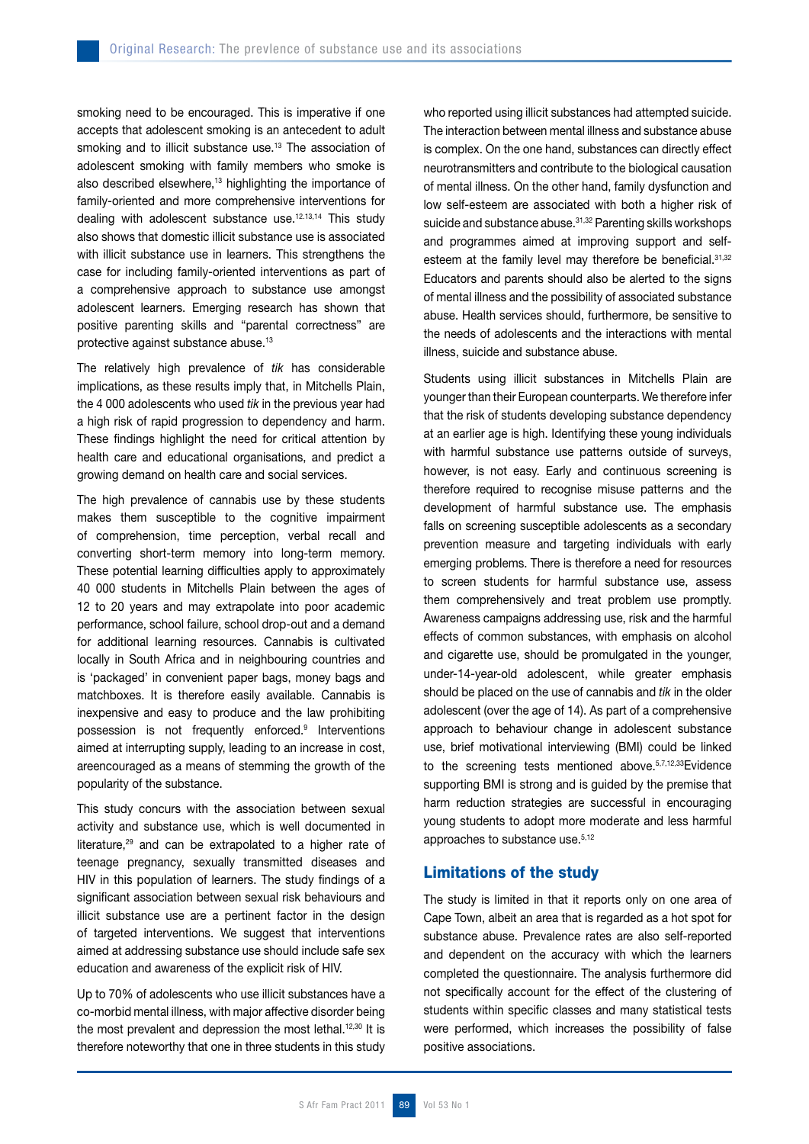smoking need to be encouraged. This is imperative if one accepts that adolescent smoking is an antecedent to adult smoking and to illicit substance use.<sup>13</sup> The association of adolescent smoking with family members who smoke is also described elsewhere,<sup>13</sup> highlighting the importance of family-oriented and more comprehensive interventions for dealing with adolescent substance use.12.13,14 This study also shows that domestic illicit substance use is associated with illicit substance use in learners. This strengthens the case for including family-oriented interventions as part of a comprehensive approach to substance use amongst adolescent learners. Emerging research has shown that positive parenting skills and "parental correctness" are protective against substance abuse.13

The relatively high prevalence of *tik* has considerable implications, as these results imply that, in Mitchells Plain, the 4 000 adolescents who used *tik* in the previous year had a high risk of rapid progression to dependency and harm. These findings highlight the need for critical attention by health care and educational organisations, and predict a growing demand on health care and social services.

The high prevalence of cannabis use by these students makes them susceptible to the cognitive impairment of comprehension, time perception, verbal recall and converting short-term memory into long-term memory. These potential learning difficulties apply to approximately 40 000 students in Mitchells Plain between the ages of 12 to 20 years and may extrapolate into poor academic performance, school failure, school drop-out and a demand for additional learning resources. Cannabis is cultivated locally in South Africa and in neighbouring countries and is 'packaged' in convenient paper bags, money bags and matchboxes. It is therefore easily available. Cannabis is inexpensive and easy to produce and the law prohibiting possession is not frequently enforced.<sup>9</sup> Interventions aimed at interrupting supply, leading to an increase in cost, areencouraged as a means of stemming the growth of the popularity of the substance.

This study concurs with the association between sexual activity and substance use, which is well documented in literature,29 and can be extrapolated to a higher rate of teenage pregnancy, sexually transmitted diseases and HIV in this population of learners. The study findings of a significant association between sexual risk behaviours and illicit substance use are a pertinent factor in the design of targeted interventions. We suggest that interventions aimed at addressing substance use should include safe sex education and awareness of the explicit risk of HIV.

Up to 70% of adolescents who use illicit substances have a co-morbid mental illness, with major affective disorder being the most prevalent and depression the most lethal.<sup>12,30</sup> It is therefore noteworthy that one in three students in this study who reported using illicit substances had attempted suicide. The interaction between mental illness and substance abuse is complex. On the one hand, substances can directly effect neurotransmitters and contribute to the biological causation of mental illness. On the other hand, family dysfunction and low self-esteem are associated with both a higher risk of suicide and substance abuse.<sup>31,32</sup> Parenting skills workshops and programmes aimed at improving support and selfesteem at the family level may therefore be beneficial. 31,32 Educators and parents should also be alerted to the signs of mental illness and the possibility of associated substance abuse. Health services should, furthermore, be sensitive to the needs of adolescents and the interactions with mental illness, suicide and substance abuse.

Students using illicit substances in Mitchells Plain are younger than their European counterparts. We therefore infer that the risk of students developing substance dependency at an earlier age is high. Identifying these young individuals with harmful substance use patterns outside of surveys, however, is not easy. Early and continuous screening is therefore required to recognise misuse patterns and the development of harmful substance use. The emphasis falls on screening susceptible adolescents as a secondary prevention measure and targeting individuals with early emerging problems. There is therefore a need for resources to screen students for harmful substance use, assess them comprehensively and treat problem use promptly. Awareness campaigns addressing use, risk and the harmful effects of common substances, with emphasis on alcohol and cigarette use, should be promulgated in the younger, under-14-year-old adolescent, while greater emphasis should be placed on the use of cannabis and *tik* in the older adolescent (over the age of 14). As part of a comprehensive approach to behaviour change in adolescent substance use, brief motivational interviewing (BMI) could be linked to the screening tests mentioned above.<sup>5,7,12,33</sup>Evidence supporting BMI is strong and is guided by the premise that harm reduction strategies are successful in encouraging young students to adopt more moderate and less harmful approaches to substance use.<sup>5,12</sup>

# Limitations of the study

The study is limited in that it reports only on one area of Cape Town, albeit an area that is regarded as a hot spot for substance abuse. Prevalence rates are also self-reported and dependent on the accuracy with which the learners completed the questionnaire. The analysis furthermore did not specifically account for the effect of the clustering of students within specific classes and many statistical tests were performed, which increases the possibility of false positive associations.